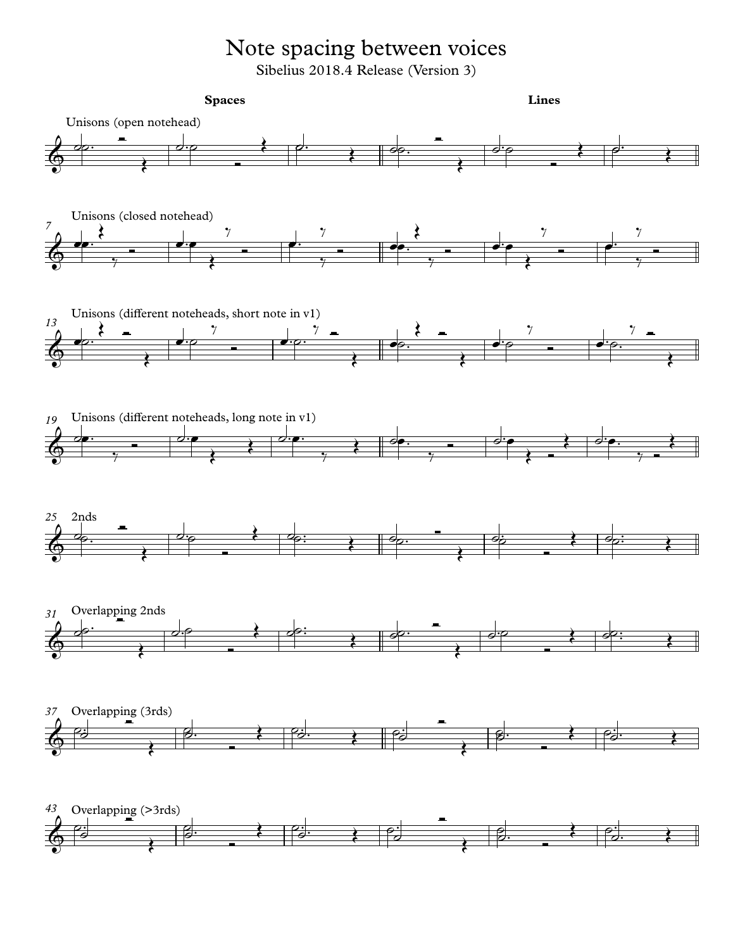## Note spacing between voices

Sibelius 2018.4 Release (Version 3)